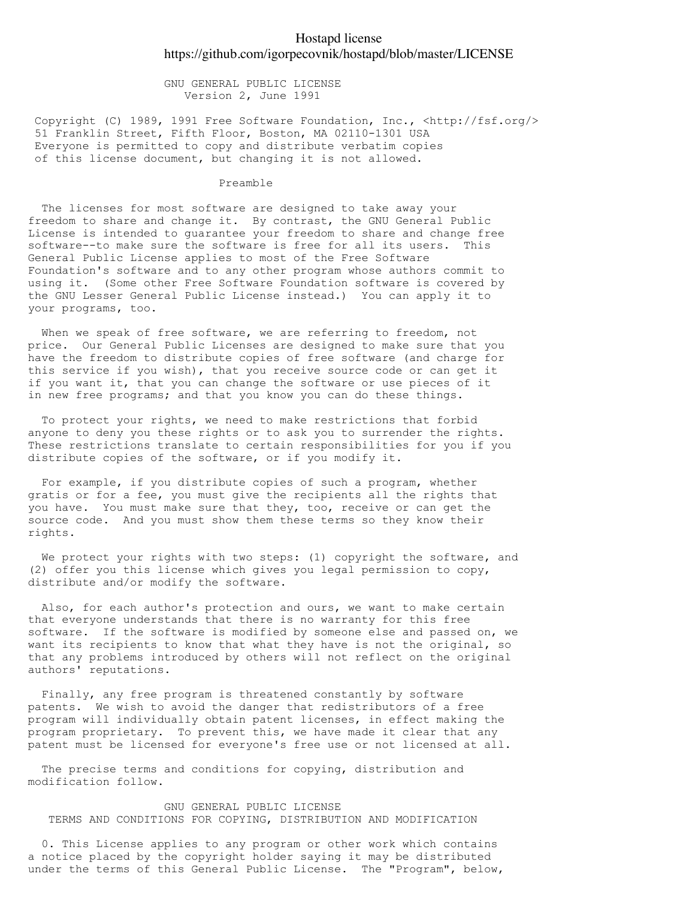## Hostapd license https://github.com/igorpecovnik/hostapd/blob/master/LICENSE

 GNU GENERAL PUBLIC LICENSE Version 2, June 1991

Copyright (C) 1989, 1991 Free Software Foundation, Inc., <http://fsf.org/> 51 Franklin Street, Fifth Floor, Boston, MA 02110-1301 USA Everyone is permitted to copy and distribute verbatim copies of this license document, but changing it is not allowed.

## Preamble

 The licenses for most software are designed to take away your freedom to share and change it. By contrast, the GNU General Public License is intended to guarantee your freedom to share and change free software--to make sure the software is free for all its users. This General Public License applies to most of the Free Software Foundation's software and to any other program whose authors commit to using it. (Some other Free Software Foundation software is covered by the GNU Lesser General Public License instead.) You can apply it to your programs, too.

When we speak of free software, we are referring to freedom, not price. Our General Public Licenses are designed to make sure that you have the freedom to distribute copies of free software (and charge for this service if you wish), that you receive source code or can get it if you want it, that you can change the software or use pieces of it in new free programs; and that you know you can do these things.

 To protect your rights, we need to make restrictions that forbid anyone to deny you these rights or to ask you to surrender the rights. These restrictions translate to certain responsibilities for you if you distribute copies of the software, or if you modify it.

 For example, if you distribute copies of such a program, whether gratis or for a fee, you must give the recipients all the rights that you have. You must make sure that they, too, receive or can get the source code. And you must show them these terms so they know their rights.

We protect your rights with two steps: (1) copyright the software, and (2) offer you this license which gives you legal permission to copy, distribute and/or modify the software.

 Also, for each author's protection and ours, we want to make certain that everyone understands that there is no warranty for this free software. If the software is modified by someone else and passed on, we want its recipients to know that what they have is not the original, so that any problems introduced by others will not reflect on the original authors' reputations.

 Finally, any free program is threatened constantly by software patents. We wish to avoid the danger that redistributors of a free program will individually obtain patent licenses, in effect making the program proprietary. To prevent this, we have made it clear that any patent must be licensed for everyone's free use or not licensed at all.

 The precise terms and conditions for copying, distribution and modification follow.

 GNU GENERAL PUBLIC LICENSE TERMS AND CONDITIONS FOR COPYING, DISTRIBUTION AND MODIFICATION

 0. This License applies to any program or other work which contains a notice placed by the copyright holder saying it may be distributed under the terms of this General Public License. The "Program", below,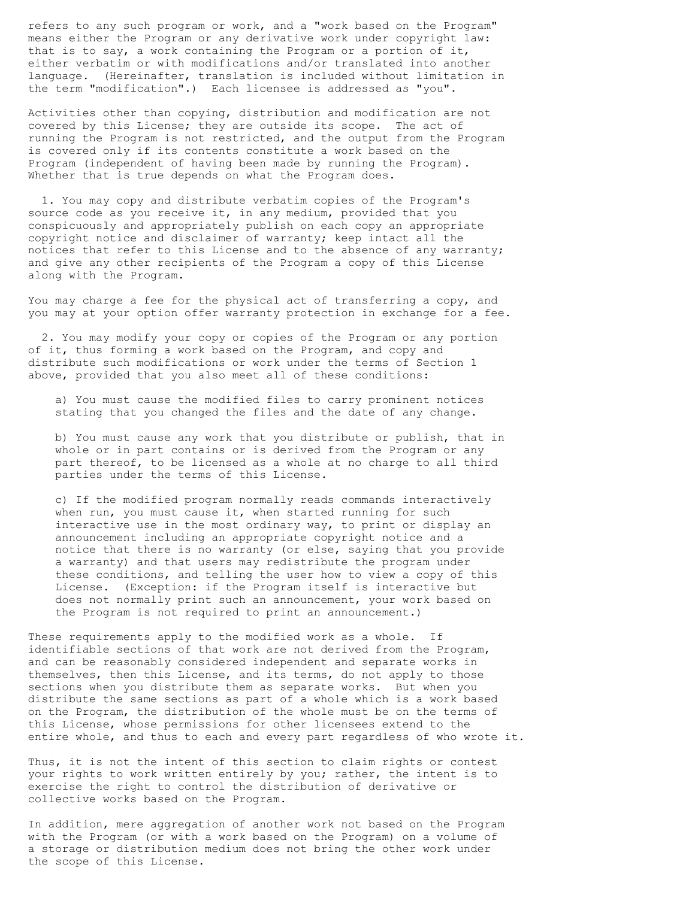refers to any such program or work, and a "work based on the Program" means either the Program or any derivative work under copyright law: that is to say, a work containing the Program or a portion of it, either verbatim or with modifications and/or translated into another language. (Hereinafter, translation is included without limitation in the term "modification".) Each licensee is addressed as "you".

Activities other than copying, distribution and modification are not covered by this License; they are outside its scope. The act of running the Program is not restricted, and the output from the Program is covered only if its contents constitute a work based on the Program (independent of having been made by running the Program). Whether that is true depends on what the Program does.

 1. You may copy and distribute verbatim copies of the Program's source code as you receive it, in any medium, provided that you conspicuously and appropriately publish on each copy an appropriate copyright notice and disclaimer of warranty; keep intact all the notices that refer to this License and to the absence of any warranty; and give any other recipients of the Program a copy of this License along with the Program.

You may charge a fee for the physical act of transferring a copy, and you may at your option offer warranty protection in exchange for a fee.

 2. You may modify your copy or copies of the Program or any portion of it, thus forming a work based on the Program, and copy and distribute such modifications or work under the terms of Section 1 above, provided that you also meet all of these conditions:

 a) You must cause the modified files to carry prominent notices stating that you changed the files and the date of any change.

 b) You must cause any work that you distribute or publish, that in whole or in part contains or is derived from the Program or any part thereof, to be licensed as a whole at no charge to all third parties under the terms of this License.

 c) If the modified program normally reads commands interactively when run, you must cause it, when started running for such interactive use in the most ordinary way, to print or display an announcement including an appropriate copyright notice and a notice that there is no warranty (or else, saying that you provide a warranty) and that users may redistribute the program under these conditions, and telling the user how to view a copy of this License. (Exception: if the Program itself is interactive but does not normally print such an announcement, your work based on the Program is not required to print an announcement.)

These requirements apply to the modified work as a whole. If identifiable sections of that work are not derived from the Program, and can be reasonably considered independent and separate works in themselves, then this License, and its terms, do not apply to those sections when you distribute them as separate works. But when you distribute the same sections as part of a whole which is a work based on the Program, the distribution of the whole must be on the terms of this License, whose permissions for other licensees extend to the entire whole, and thus to each and every part regardless of who wrote it.

Thus, it is not the intent of this section to claim rights or contest your rights to work written entirely by you; rather, the intent is to exercise the right to control the distribution of derivative or collective works based on the Program.

In addition, mere aggregation of another work not based on the Program with the Program (or with a work based on the Program) on a volume of a storage or distribution medium does not bring the other work under the scope of this License.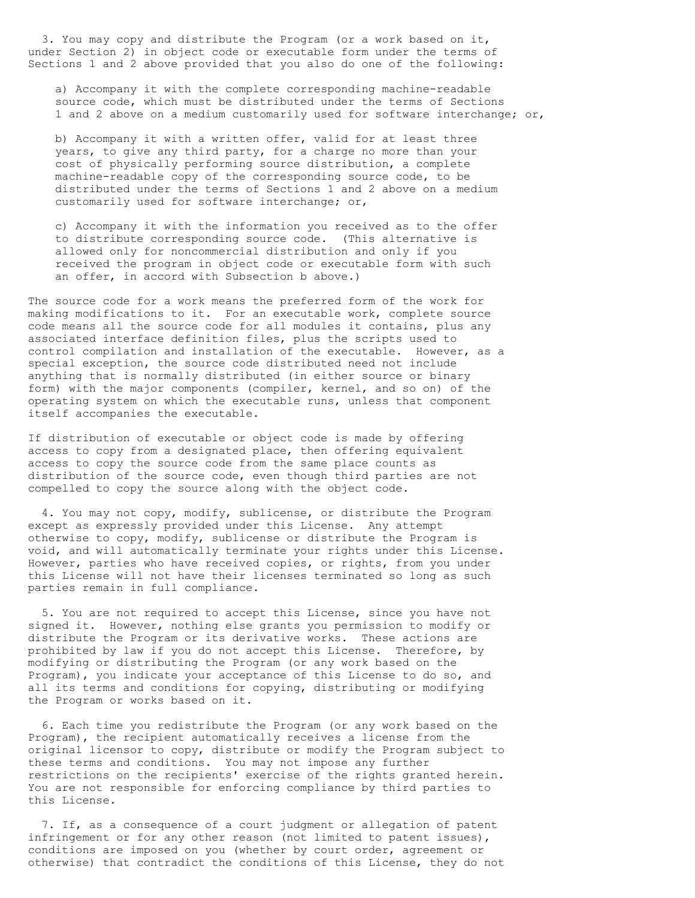3. You may copy and distribute the Program (or a work based on it, under Section 2) in object code or executable form under the terms of Sections 1 and 2 above provided that you also do one of the following:

 a) Accompany it with the complete corresponding machine-readable source code, which must be distributed under the terms of Sections 1 and 2 above on a medium customarily used for software interchange; or,

 b) Accompany it with a written offer, valid for at least three years, to give any third party, for a charge no more than your cost of physically performing source distribution, a complete machine-readable copy of the corresponding source code, to be distributed under the terms of Sections 1 and 2 above on a medium customarily used for software interchange; or,

 c) Accompany it with the information you received as to the offer to distribute corresponding source code. (This alternative is allowed only for noncommercial distribution and only if you received the program in object code or executable form with such an offer, in accord with Subsection b above.)

The source code for a work means the preferred form of the work for making modifications to it. For an executable work, complete source code means all the source code for all modules it contains, plus any associated interface definition files, plus the scripts used to control compilation and installation of the executable. However, as a special exception, the source code distributed need not include anything that is normally distributed (in either source or binary form) with the major components (compiler, kernel, and so on) of the operating system on which the executable runs, unless that component itself accompanies the executable.

If distribution of executable or object code is made by offering access to copy from a designated place, then offering equivalent access to copy the source code from the same place counts as distribution of the source code, even though third parties are not compelled to copy the source along with the object code.

 4. You may not copy, modify, sublicense, or distribute the Program except as expressly provided under this License. Any attempt otherwise to copy, modify, sublicense or distribute the Program is void, and will automatically terminate your rights under this License. However, parties who have received copies, or rights, from you under this License will not have their licenses terminated so long as such parties remain in full compliance.

 5. You are not required to accept this License, since you have not signed it. However, nothing else grants you permission to modify or distribute the Program or its derivative works. These actions are prohibited by law if you do not accept this License. Therefore, by modifying or distributing the Program (or any work based on the Program), you indicate your acceptance of this License to do so, and all its terms and conditions for copying, distributing or modifying the Program or works based on it.

 6. Each time you redistribute the Program (or any work based on the Program), the recipient automatically receives a license from the original licensor to copy, distribute or modify the Program subject to these terms and conditions. You may not impose any further restrictions on the recipients' exercise of the rights granted herein. You are not responsible for enforcing compliance by third parties to this License.

 7. If, as a consequence of a court judgment or allegation of patent infringement or for any other reason (not limited to patent issues), conditions are imposed on you (whether by court order, agreement or otherwise) that contradict the conditions of this License, they do not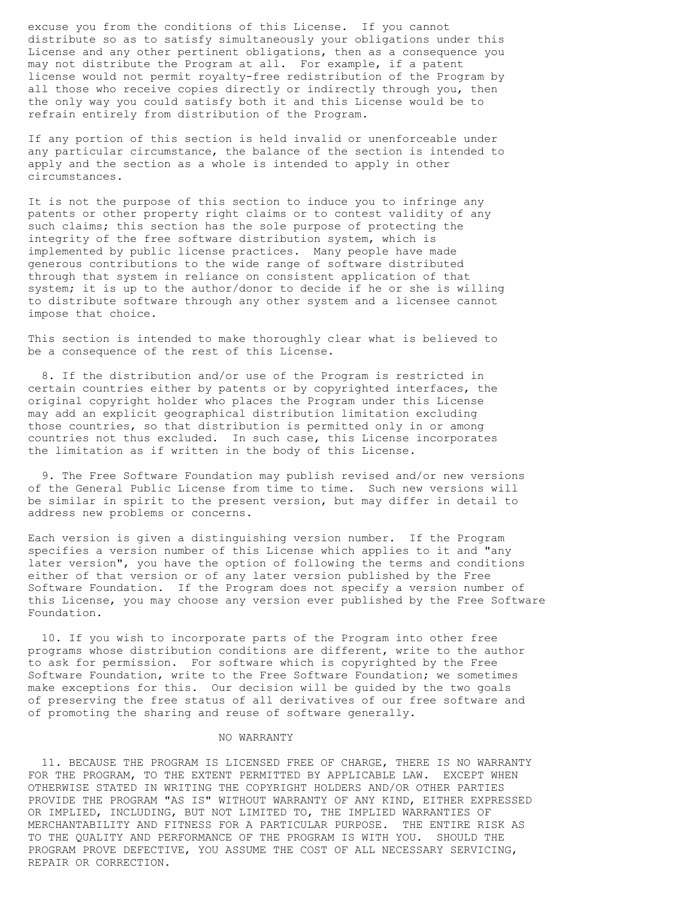excuse you from the conditions of this License. If you cannot distribute so as to satisfy simultaneously your obligations under this License and any other pertinent obligations, then as a consequence you may not distribute the Program at all. For example, if a patent license would not permit royalty-free redistribution of the Program by all those who receive copies directly or indirectly through you, then the only way you could satisfy both it and this License would be to refrain entirely from distribution of the Program.

If any portion of this section is held invalid or unenforceable under any particular circumstance, the balance of the section is intended to apply and the section as a whole is intended to apply in other circumstances.

It is not the purpose of this section to induce you to infringe any patents or other property right claims or to contest validity of any such claims; this section has the sole purpose of protecting the integrity of the free software distribution system, which is implemented by public license practices. Many people have made generous contributions to the wide range of software distributed through that system in reliance on consistent application of that system; it is up to the author/donor to decide if he or she is willing to distribute software through any other system and a licensee cannot impose that choice.

This section is intended to make thoroughly clear what is believed to be a consequence of the rest of this License.

 8. If the distribution and/or use of the Program is restricted in certain countries either by patents or by copyrighted interfaces, the original copyright holder who places the Program under this License may add an explicit geographical distribution limitation excluding those countries, so that distribution is permitted only in or among countries not thus excluded. In such case, this License incorporates the limitation as if written in the body of this License.

 9. The Free Software Foundation may publish revised and/or new versions of the General Public License from time to time. Such new versions will be similar in spirit to the present version, but may differ in detail to address new problems or concerns.

Each version is given a distinguishing version number. If the Program specifies a version number of this License which applies to it and "any later version", you have the option of following the terms and conditions either of that version or of any later version published by the Free Software Foundation. If the Program does not specify a version number of this License, you may choose any version ever published by the Free Software Foundation.

 10. If you wish to incorporate parts of the Program into other free programs whose distribution conditions are different, write to the author to ask for permission. For software which is copyrighted by the Free Software Foundation, write to the Free Software Foundation; we sometimes make exceptions for this. Our decision will be guided by the two goals of preserving the free status of all derivatives of our free software and of promoting the sharing and reuse of software generally.

## NO WARRANTY

 11. BECAUSE THE PROGRAM IS LICENSED FREE OF CHARGE, THERE IS NO WARRANTY FOR THE PROGRAM, TO THE EXTENT PERMITTED BY APPLICABLE LAW. EXCEPT WHEN OTHERWISE STATED IN WRITING THE COPYRIGHT HOLDERS AND/OR OTHER PARTIES PROVIDE THE PROGRAM "AS IS" WITHOUT WARRANTY OF ANY KIND, EITHER EXPRESSED OR IMPLIED, INCLUDING, BUT NOT LIMITED TO, THE IMPLIED WARRANTIES OF MERCHANTABILITY AND FITNESS FOR A PARTICULAR PURPOSE. THE ENTIRE RISK AS TO THE QUALITY AND PERFORMANCE OF THE PROGRAM IS WITH YOU. SHOULD THE PROGRAM PROVE DEFECTIVE, YOU ASSUME THE COST OF ALL NECESSARY SERVICING, REPAIR OR CORRECTION.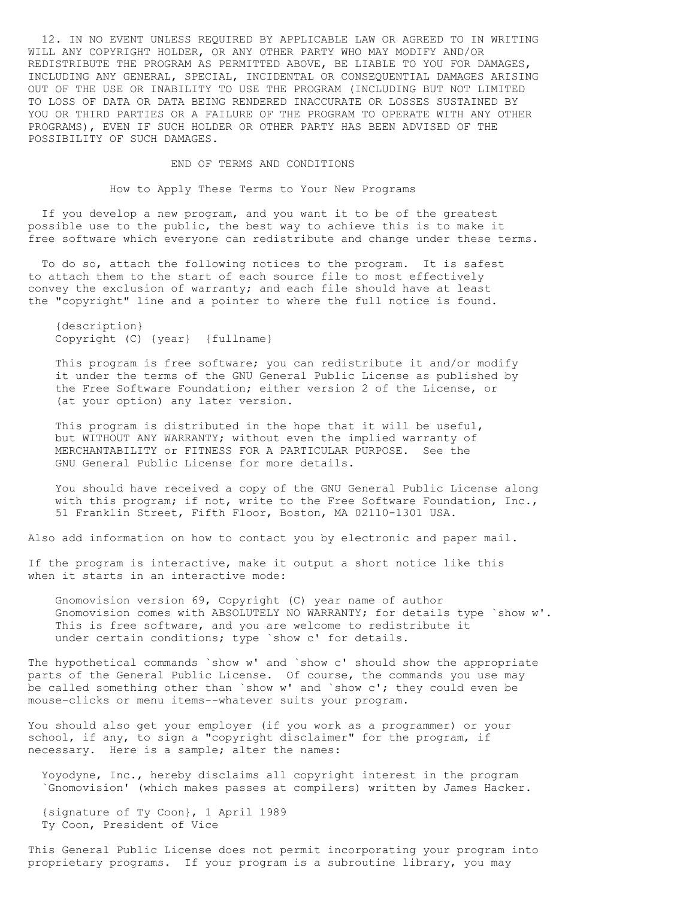12. IN NO EVENT UNLESS REQUIRED BY APPLICABLE LAW OR AGREED TO IN WRITING WILL ANY COPYRIGHT HOLDER, OR ANY OTHER PARTY WHO MAY MODIFY AND/OR REDISTRIBUTE THE PROGRAM AS PERMITTED ABOVE, BE LIABLE TO YOU FOR DAMAGES, INCLUDING ANY GENERAL, SPECIAL, INCIDENTAL OR CONSEQUENTIAL DAMAGES ARISING OUT OF THE USE OR INABILITY TO USE THE PROGRAM (INCLUDING BUT NOT LIMITED TO LOSS OF DATA OR DATA BEING RENDERED INACCURATE OR LOSSES SUSTAINED BY YOU OR THIRD PARTIES OR A FAILURE OF THE PROGRAM TO OPERATE WITH ANY OTHER PROGRAMS), EVEN IF SUCH HOLDER OR OTHER PARTY HAS BEEN ADVISED OF THE POSSIBILITY OF SUCH DAMAGES.

END OF TERMS AND CONDITIONS

How to Apply These Terms to Your New Programs

 If you develop a new program, and you want it to be of the greatest possible use to the public, the best way to achieve this is to make it free software which everyone can redistribute and change under these terms.

To do so, attach the following notices to the program. It is safest to attach them to the start of each source file to most effectively convey the exclusion of warranty; and each file should have at least the "copyright" line and a pointer to where the full notice is found.

 {description} Copyright (C) {year} {fullname}

 This program is free software; you can redistribute it and/or modify it under the terms of the GNU General Public License as published by the Free Software Foundation; either version 2 of the License, or (at your option) any later version.

 This program is distributed in the hope that it will be useful, but WITHOUT ANY WARRANTY; without even the implied warranty of MERCHANTABILITY or FITNESS FOR A PARTICULAR PURPOSE. See the GNU General Public License for more details.

 You should have received a copy of the GNU General Public License along with this program; if not, write to the Free Software Foundation, Inc., 51 Franklin Street, Fifth Floor, Boston, MA 02110-1301 USA.

Also add information on how to contact you by electronic and paper mail.

If the program is interactive, make it output a short notice like this when it starts in an interactive mode:

 Gnomovision version 69, Copyright (C) year name of author Gnomovision comes with ABSOLUTELY NO WARRANTY; for details type `show w'. This is free software, and you are welcome to redistribute it under certain conditions; type `show c' for details.

The hypothetical commands `show w' and `show c' should show the appropriate parts of the General Public License. Of course, the commands you use may be called something other than `show w' and `show c'; they could even be mouse-clicks or menu items--whatever suits your program.

You should also get your employer (if you work as a programmer) or your school, if any, to sign a "copyright disclaimer" for the program, if necessary. Here is a sample; alter the names:

 Yoyodyne, Inc., hereby disclaims all copyright interest in the program `Gnomovision' (which makes passes at compilers) written by James Hacker.

 {signature of Ty Coon}, 1 April 1989 Ty Coon, President of Vice

This General Public License does not permit incorporating your program into proprietary programs. If your program is a subroutine library, you may